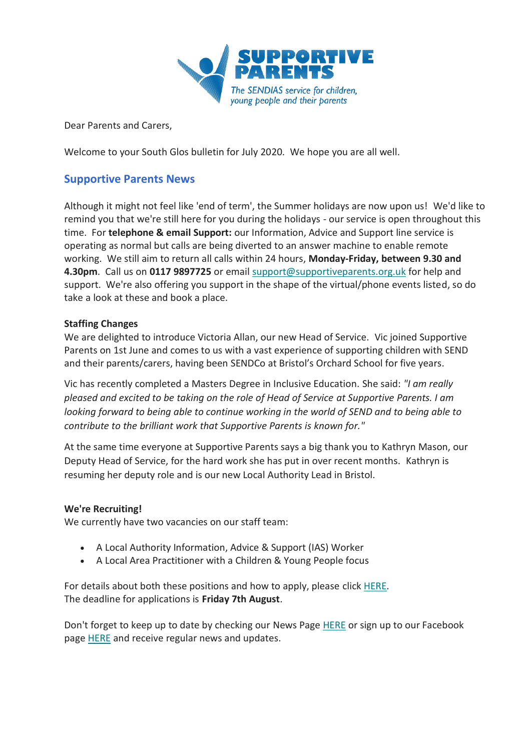

Dear Parents and Carers,

Welcome to your South Glos bulletin for July 2020. We hope you are all well.

# **Supportive Parents News**

Although it might not feel like 'end of term', the Summer holidays are now upon us! We'd like to remind you that we're still here for you during the holidays - our service is open throughout this time. For **telephone & email Support:** our Information, Advice and Support line service is operating as normal but calls are being diverted to an answer machine to enable remote working. We still aim to return all calls within 24 hours, **Monday-Friday, between 9.30 and 4.30pm**. Call us on **0117 9897725** or email [support@supportiveparents.org.uk](mailto:support@supportiveparents.org.uk) for help and support. We're also offering you support in the shape of the virtual/phone events listed, so do take a look at these and book a place.

### **Staffing Changes**

We are delighted to introduce Victoria Allan, our new Head of Service. Vic joined Supportive Parents on 1st June and comes to us with a vast experience of supporting children with SEND and their parents/carers, having been SENDCo at Bristol's Orchard School for five years.

Vic has recently completed a Masters Degree in Inclusive Education. She said: *"I am really pleased and excited to be taking on the role of Head of Service at Supportive Parents. I am looking forward to being able to continue working in the world of SEND and to being able to contribute to the brilliant work that Supportive Parents is known for."* 

At the same time everyone at Supportive Parents says a big thank you to Kathryn Mason, our Deputy Head of Service, for the hard work she has put in over recent months. Kathryn is resuming her deputy role and is our new Local Authority Lead in Bristol.

#### **We're Recruiting!**

We currently have two vacancies on our staff team:

- A Local Authority Information, Advice & Support (IAS) Worker
- A Local Area Practitioner with a Children & Young People focus

For details about both these positions and how to apply, please click [HERE.](https://www.supportiveparents.org.uk/were-recruiting/) The deadline for applications is **Friday 7th August**.

Don't forget to keep up to date by checking our News Page [HERE](https://www.supportiveparents.org.uk/latest-news/) or sign up to our Facebook page [HERE](https://www.facebook.com/SupportiveparentsPPS) and receive regular news and updates.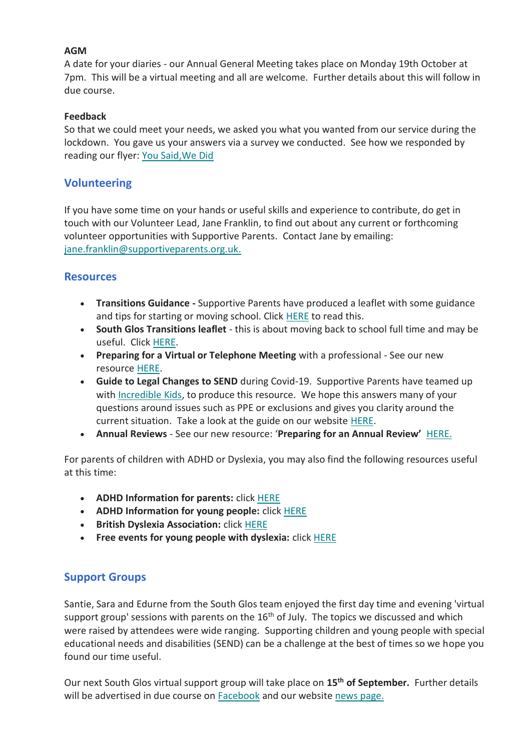### **AGM**

A date for your diaries - our Annual General Meeting takes place on Monday 19th October at 7pm. This will be a virtual meeting and all are welcome. Further details about this will follow in due course.

### **Feedback**

So that we could meet your needs, we asked you what you wanted from our service during the lockdown. You gave us your answers via a survey we conducted. See how we responded by reading our flyer: [You Said,We Did](https://www.supportiveparents.org.uk/wp-content/uploads/2020/07/You-said-we-did-PDF.pdf)

## **Volunteering**

If you have some time on your hands or useful skills and experience to contribute, do get in touch with our Volunteer Lead, Jane Franklin, to find out about any current or forthcoming volunteer opportunities with Supportive Parents. Contact Jane by emailing: [jane.franklin@supportiveparents.org.uk](mailto:jane.franklin@supportiveparents.org.uk)[.](mailto:jane.franklin@supportiveparents.org.uk.)

## **Resources**

- **Transitions Guidance -** Supportive Parents have produced a leaflet with some guidance and tips for starting or moving school. Click [HERE](https://www.supportiveparents.org.uk/wp-content/uploads/2020/07/Transitions-Preparing-for-starting-or-moving-school.pdf) to read this.
- **South Glos Transitions leaflet** this is about moving back to school full time and may be useful. Click [HERE.](http://sites.southglos.gov.uk/safeguarding/wp-content/uploads/sites/221/2020/05/Final-Version-Transitions-Booklet.pdf)
- **Preparing for a Virtual or Telephone Meeting** with a professional See our new resource [HERE.](https://www.supportiveparents.org.uk/wp-content/uploads/2020/05/Preparing-for-a-virtual-or-telephone-meeting.pdf)
- **Guide to Legal Changes to SEND** during Covid-19. Supportive Parents have teamed up with [Incredible Kids,](https://incrediblekids.org.uk/) to produce this resource. We hope this answers many of your questions around issues such as PPE or exclusions and gives you clarity around the current situation. Take a look at the guide on our website [HERE.](https://www.supportiveparents.org.uk/wp-content/uploads/2020/07/Incredible-Kids-Supportive-Parents-COVID19-2020-Legal-Changes-To-SEND.pdf)
- **Annual Reviews** See our new resource: '**Preparing for an Annual Review'** [HERE.](https://www.supportiveparents.org.uk/wp-content/uploads/2020/07/Preparing-for-an-Annual-Review-as-at-June-2020.pdf)

For parents of children with ADHD or Dyslexia, you may also find the following resources useful at this time:

- **ADHD Information for parents:** click [HERE](https://www.adhdfoundation.org.uk/information/parents/)
- **ADHD Information for young people:** click [HERE](https://www.adhdfoundation.org.uk/information/young-people/)
- **British Dyslexia Association:** click [HERE](https://www.bdadyslexia.org.uk/dyslexia)
- **Free events for young people with dyslexia:** click [HERE](https://www.bdadyslexia.org.uk/events)

## **Support Groups**

Santie, Sara and Edurne from the South Glos team enjoyed the first day time and evening 'virtual support group' sessions with parents on the 16<sup>th</sup> of July. The topics we discussed and which were raised by attendees were wide ranging. Supporting children and young people with special educational needs and disabilities (SEND) can be a challenge at the best of times so we hope you found our time useful.

Our next South Glos virtual support group will take place on **15th of September.** Further details will be advertised in due course on **[Facebook](https://www.facebook.com/SupportiveparentsPPS)** and our website [news page.](https://www.supportiveparents.org.uk/latest-news/)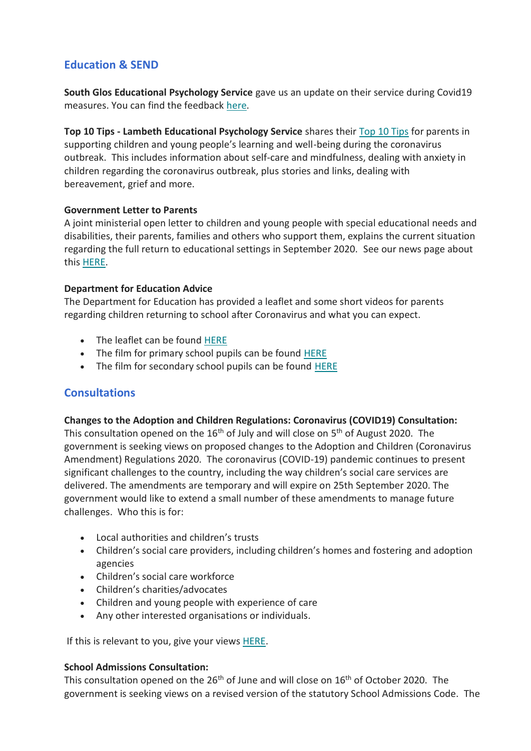# **Education & SEND**

**South Glos Educational Psychology Service** gave us an update on their service during Covid19 measures. You can find the feedback [here.](https://www.supportiveparents.org.uk/wp-content/uploads/2020/07/South-Glos-EP-Update-during-Covid-19.pdf)

**Top 10 Tips - Lambeth Educational Psychology Service** shares their [Top 10 Tips](https://www.lambeth.gov.uk/sites/default/files/Coronovirus%20%20Advice%20for%20parents%20Lambeth%20Educational%20Psychology%20Service.pdf) for parents in supporting children and young people's learning and well-being during the coronavirus outbreak. This includes information about self-care and mindfulness, dealing with anxiety in children regarding the coronavirus outbreak, plus stories and links, dealing with bereavement, grief and more.

### **Government Letter to Parents**

A joint ministerial open letter to children and young people with special educational needs and disabilities, their parents, families and others who support them, explains the current situation regarding the full return to educational settings in September 2020. See our news page about this [HERE.](https://www.supportiveparents.org.uk/ministerial-letter-on-full-return-to-educational-settings-in-september/)

### **Department for Education Advice**

The Department for Education has provided a leaflet and some short videos for parents regarding children returning to school after Coronavirus and what you can expect.

- The leaflet can be found [HERE](https://coronavirusresources.phe.gov.uk/schools-/resources/leaflets/)
- The film for primary school pupils can be found [HERE](https://www.youtube.com/watch?v=BiefaCf2fvY)
- The film for secondary school pupils can be found [HERE](https://www.youtube.com/watch?v=foQuuIWonl8)

## **Consultations**

#### **Changes to the Adoption and Children Regulations: Coronavirus (COVID19) Consultation:**

This consultation opened on the 16<sup>th</sup> of July and will close on 5<sup>th</sup> of August 2020. The government is seeking views on proposed changes to the Adoption and Children (Coronavirus Amendment) Regulations 2020. The coronavirus (COVID-19) pandemic continues to present significant challenges to the country, including the way children's social care services are delivered. The amendments are temporary and will expire on 25th September 2020. The government would like to extend a small number of these amendments to manage future challenges. Who this is for:

- Local authorities and children's trusts
- Children's social care providers, including children's homes and fostering and adoption agencies
- Children's social care workforce
- Children's charities/advocates
- Children and young people with experience of care
- Any other interested organisations or individuals.

If this is relevant to you, give your views [HERE.](https://consult.education.gov.uk/children2019s-social-care-covid-19-co-ordination-unit/changes-to-the-adoption-and-children-regulations-c/)

#### **School Admissions Consultation:**

This consultation opened on the  $26<sup>th</sup>$  of June and will close on  $16<sup>th</sup>$  of October 2020. The government is seeking views on a revised version of the statutory School Admissions Code. The